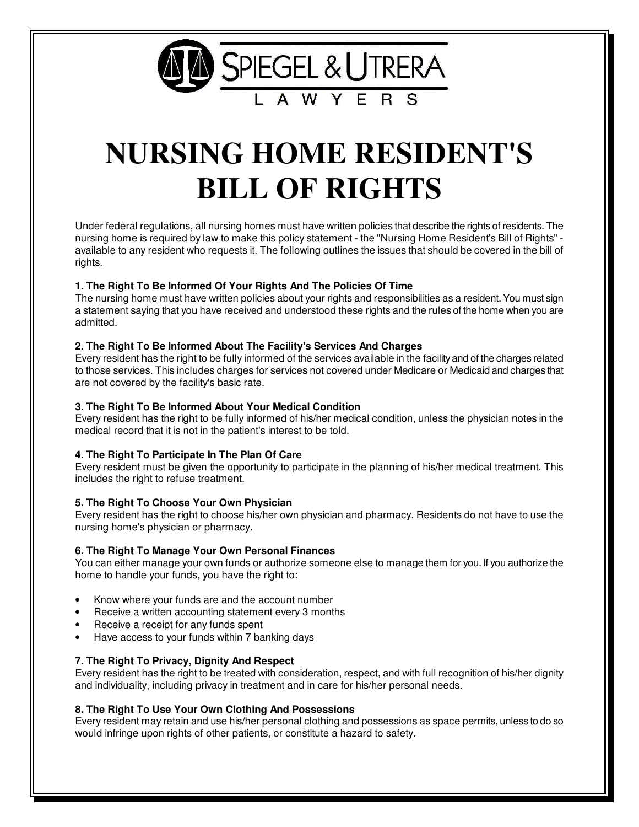

# **NURSING HOME RESIDENT'S BILL OF RIGHTS**

Under federal regulations, all nursing homes must have written policies that describe the rights of residents. The nursing home is required by law to make this policy statement - the "Nursing Home Resident's Bill of Rights" available to any resident who requests it. The following outlines the issues that should be covered in the bill of rights.

# **1. The Right To Be Informed Of Your Rights And The Policies Of Time**

The nursing home must have written policies about your rights and responsibilities as a resident. You must sign a statement saying that you have received and understood these rights and the rules of the home when you are admitted.

## **2. The Right To Be Informed About The Facility's Services And Charges**

Every resident has the right to be fully informed of the services available in the facility and of the charges related to those services. This includes charges for services not covered under Medicare or Medicaid and charges that are not covered by the facility's basic rate.

## **3. The Right To Be Informed About Your Medical Condition**

Every resident has the right to be fully informed of his/her medical condition, unless the physician notes in the medical record that it is not in the patient's interest to be told.

# **4. The Right To Participate In The Plan Of Care**

Every resident must be given the opportunity to participate in the planning of his/her medical treatment. This includes the right to refuse treatment.

#### **5. The Right To Choose Your Own Physician**

Every resident has the right to choose his/her own physician and pharmacy. Residents do not have to use the nursing home's physician or pharmacy.

#### **6. The Right To Manage Your Own Personal Finances**

You can either manage your own funds or authorize someone else to manage them for you. If you authorize the home to handle your funds, you have the right to:

- Know where your funds are and the account number
- Receive a written accounting statement every 3 months
- Receive a receipt for any funds spent
- Have access to your funds within 7 banking days

# **7. The Right To Privacy, Dignity And Respect**

Every resident has the right to be treated with consideration, respect, and with full recognition of his/her dignity and individuality, including privacy in treatment and in care for his/her personal needs.

## **8. The Right To Use Your Own Clothing And Possessions**

Every resident may retain and use his/her personal clothing and possessions as space permits, unless to do so would infringe upon rights of other patients, or constitute a hazard to safety.